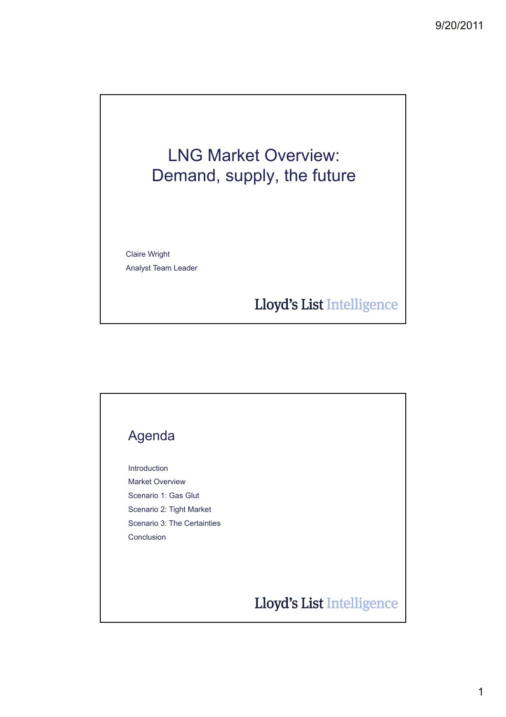## LNG Market Overview: Demand, supply, the future

Claire Wright Analyst Team Leader

Lloyd's List Intelligence

# Agenda Introduction Market Overview Scenario 1: Gas Glut Scenario 2: Tight Market Scenario 3: The Certainties ConclusionLloyd's List Intelligence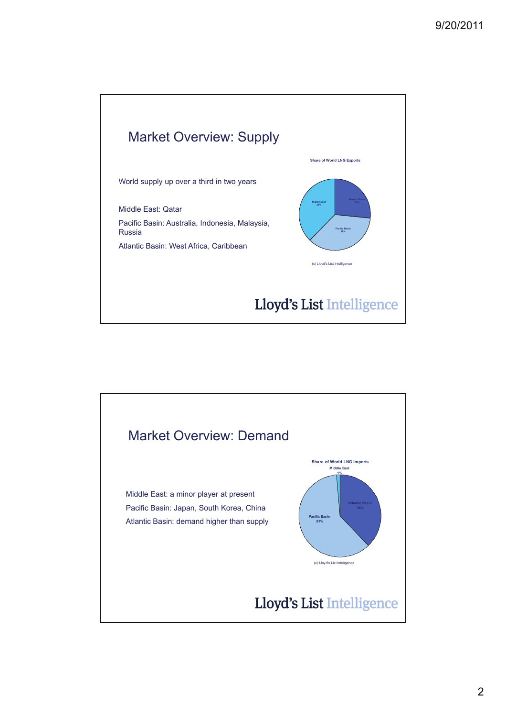

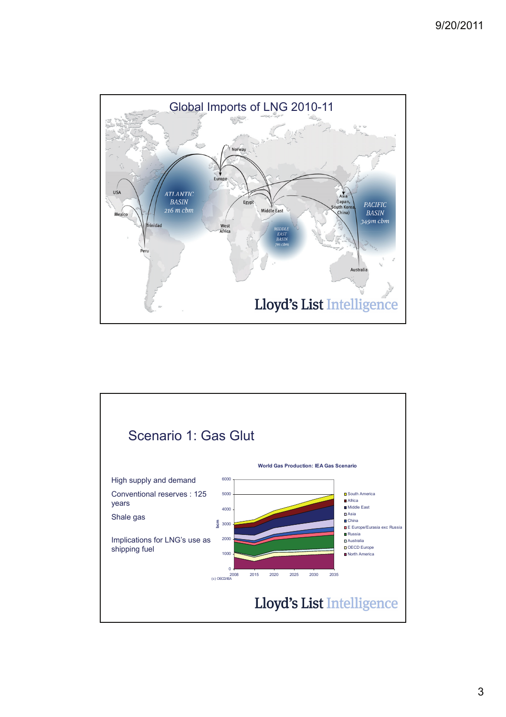

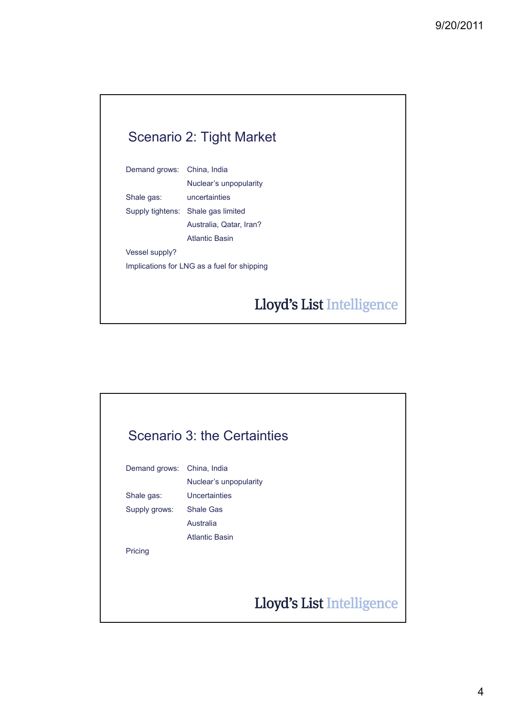#### Scenario 2: Tight Market

| Demand grows: China, India                  |                                    |
|---------------------------------------------|------------------------------------|
|                                             | Nuclear's unpopularity             |
| Shale gas:                                  | uncertainties                      |
|                                             | Supply tightens: Shale gas limited |
|                                             | Australia, Qatar, Iran?            |
|                                             | Atlantic Basin                     |
| <b>Vessel supply?</b>                       |                                    |
| Implications for LNG as a fuel for shipping |                                    |

### Lloyd's List Intelligence